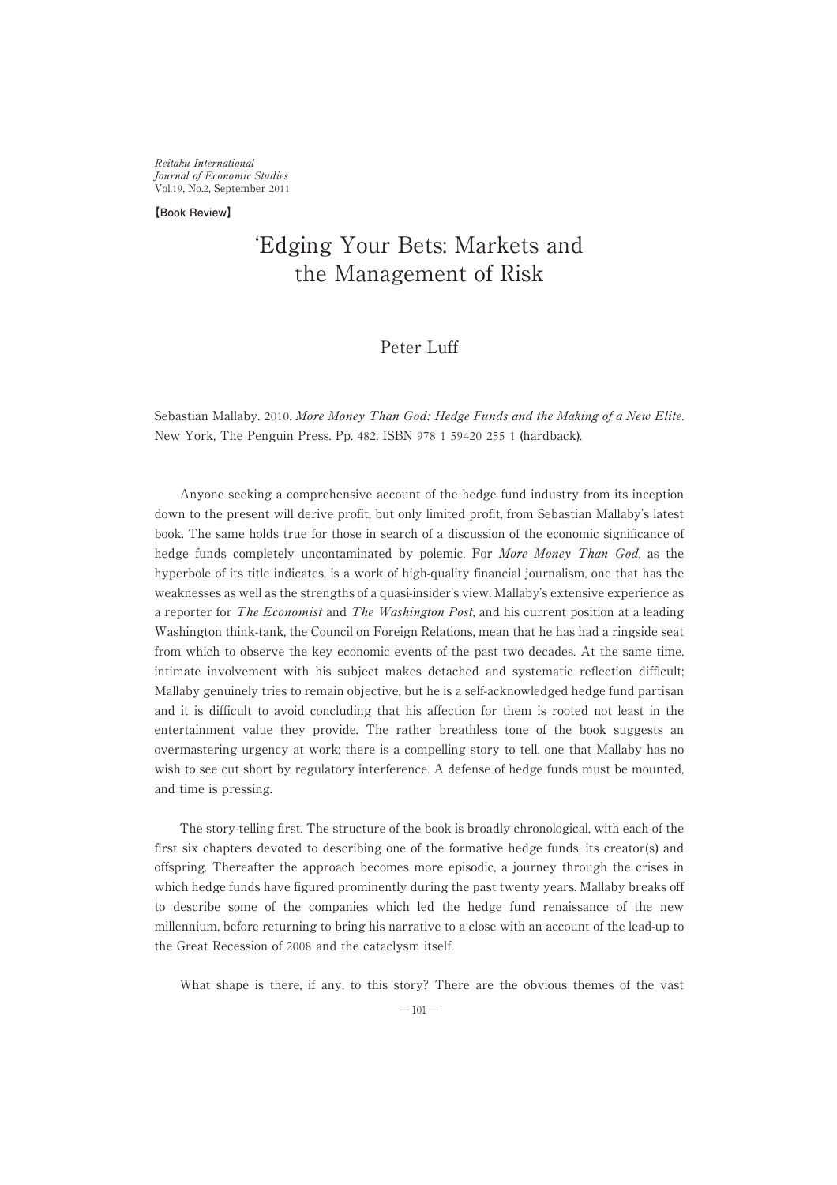Reitaku International Journal of Economic Studies Vol.19, No.2, September 2011

**【Book Review】**

# ʻEdging Your Bets: Markets and the Management of Risk

# Peter Luff

Sebastian Mallaby. 2010. More Money Than God: Hedge Funds and the Making of a New Elite. NewYork, The Penguin Press. Pp. 482. ISBN 978 1 59420 255 1 (hardback).

Anyone seeking a comprehensive account of the hedge fund industry from its inception down to the present will derive profit, but only limited profit, from Sebastian Mallaby's latest book. The same holds true for those in search of a discussion of the economic significance of hedge funds completely uncontaminated by polemic. For More Money Than God, as the hyperbole of its title indicates, is a work of high-quality financial journalism, one that has the weaknesses as well as the strengths of a quasi-insider's view. Mallaby's extensive experience as a reporter for The Economist and The Washington Post, and his current position at a leading Washington think-tank, the Council on Foreign Relations, mean that he has had a ringside seat from which to observe the key economic events of the past two decades. At the same time, intimate involvement with his subject makes detached and systematic reflection difficult; Mallaby genuinely tries to remain objective, but he is a self-acknowledged hedge fund partisan and it is difficult to avoid concluding that his affection for them is rooted not least in the entertainment value they provide. The rather breathless tone of the book suggests an overmastering urgency at work; there is a compelling story to tell, one that Mallaby has no wish to see cut short by regulatory interference. A defense of hedge funds must be mounted, and time is pressing.

The story-telling first. The structure of the book is broadly chronological, with each of the first six chapters devoted to describing one of the formative hedge funds, its creator(s) and offspring. Thereafter the approach becomes more episodic, a journey through the crises in which hedge funds have figured prominently during the past twenty years. Mallaby breaks off to describe some of the companies which led the hedge fund renaissance of the new millennium, before returning to bring his narrative to a close with an account of the lead-up to the Great Recession of 2008 and the cataclysm itself.

What shape is there, if any, to this story? There are the obvious themes of the vast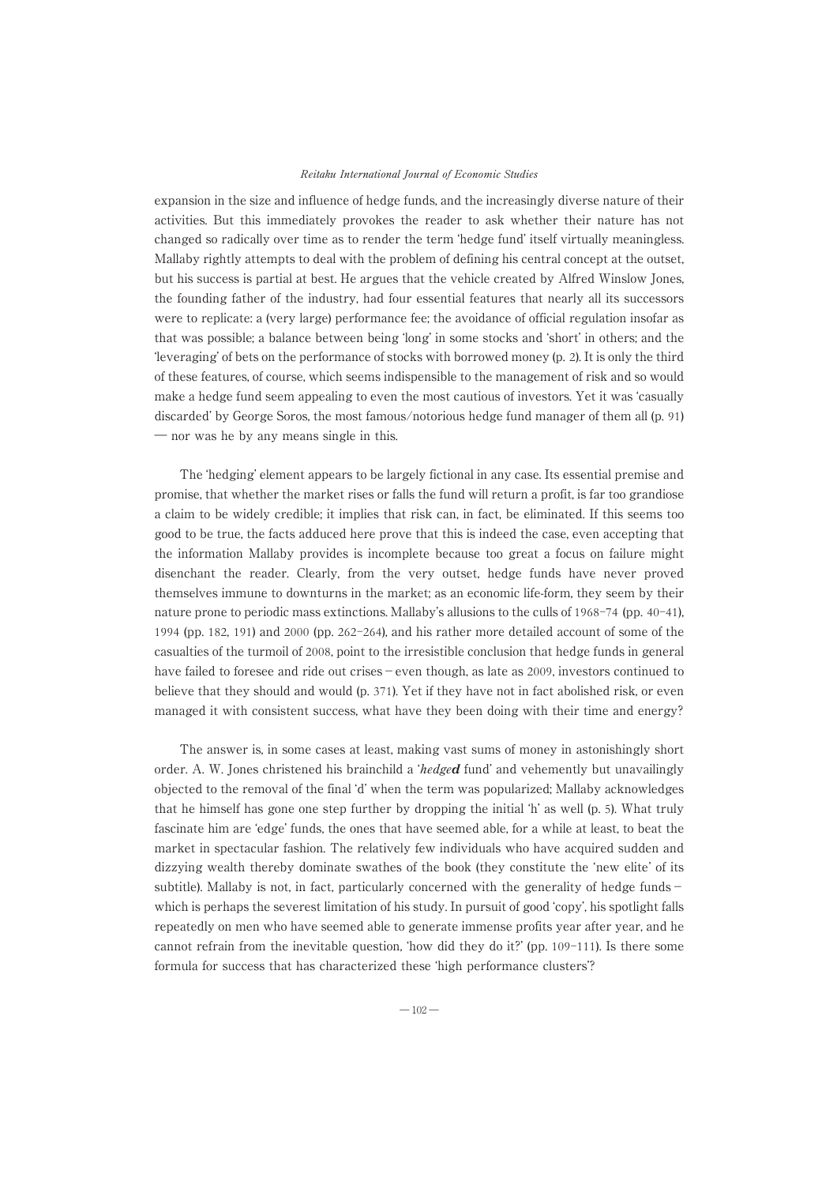#### Reitaku International Journal of Economic Studies

expansion in the size and influence of hedge funds, and the increasingly diverse nature of their activities. But this immediately provokes the reader to ask whether their nature has not changed so radically over time as to render the term ʻhedge fund' itself virtually meaningless. Mallaby rightly attempts to deal with the problem of defining his central concept at the outset, but his success is partial at best. He argues that the vehicle created by Alfred WinslowJones, the founding father of the industry, had four essential features that nearly all its successors were to replicate: a (very large) performance fee; the avoidance of official regulation insofar as that was possible; a balance between being ʻlong' in some stocks and ʻshort' in others; and the ʻleveraging' of bets on the performance of stocks with borrowed money (p. 2). It is only the third of these features, of course, which seems indispensible to the management of risk and so would make a hedge fund seem appealing to even the most cautious of investors. Yet it was ʻcasually discarded' by George Soros, the most famous/notorious hedge fund manager of them all (p. 91) ― nor was he by any means single in this.

The ʻhedging' element appears to be largely fictional in any case. Its essential premise and promise, that whether the market rises or falls the fund will return a profit, is far too grandiose a claim to be widely credible; it implies that risk can, in fact, be eliminated. If this seems too good to be true, the facts adduced here prove that this is indeed the case, even accepting that the information Mallaby provides is incomplete because too great a focus on failure might disenchant the reader. Clearly, from the very outset, hedge funds have never proved themselves immune to downturns in the market; as an economic life-form, they seem by their nature prone to periodic mass extinctions. Mallaby's allusions to the culls of 1968-74 (pp. 40-41), 1994 (pp. 182, 191) and 2000 (pp. 262-264), and his rather more detailed account of some of the casualties of the turmoil of 2008, point to the irresistible conclusion that hedge funds in general have failed to foresee and ride out crises−even though, as late as 2009, investors continued to believe that they should and would (p. 371). Yet if they have not in fact abolished risk, or even managed it with consistent success, what have they been doing with their time and energy?

The answer is, in some cases at least, making vast sums of money in astonishingly short order. A. W. Jones christened his brainchild a *'hedged* fund' and vehemently but unavailingly objected to the removal of the final ʻd' when the term was popularized; Mallaby acknowledges that he himself has gone one step further by dropping the initial ʻh' as well (p. 5). What truly fascinate him are ʻedge' funds, the ones that have seemed able, for a while at least, to beat the market in spectacular fashion. The relatively fewindividuals who have acquired sudden and dizzying wealth thereby dominate swathes of the book (they constitute the ʻnew elite' of its subtitle). Mallaby is not, in fact, particularly concerned with the generality of hedge funds − which is perhaps the severest limitation of his study. In pursuit of good ʻcopy', his spotlight falls repeatedly on men who have seemed able to generate immense profits year after year, and he cannot refrain from the inevitable question, 'how did they do it?' (pp.  $109-111$ ). Is there some formula for success that has characterized these ʻhigh performance clusters'?

 $-102-$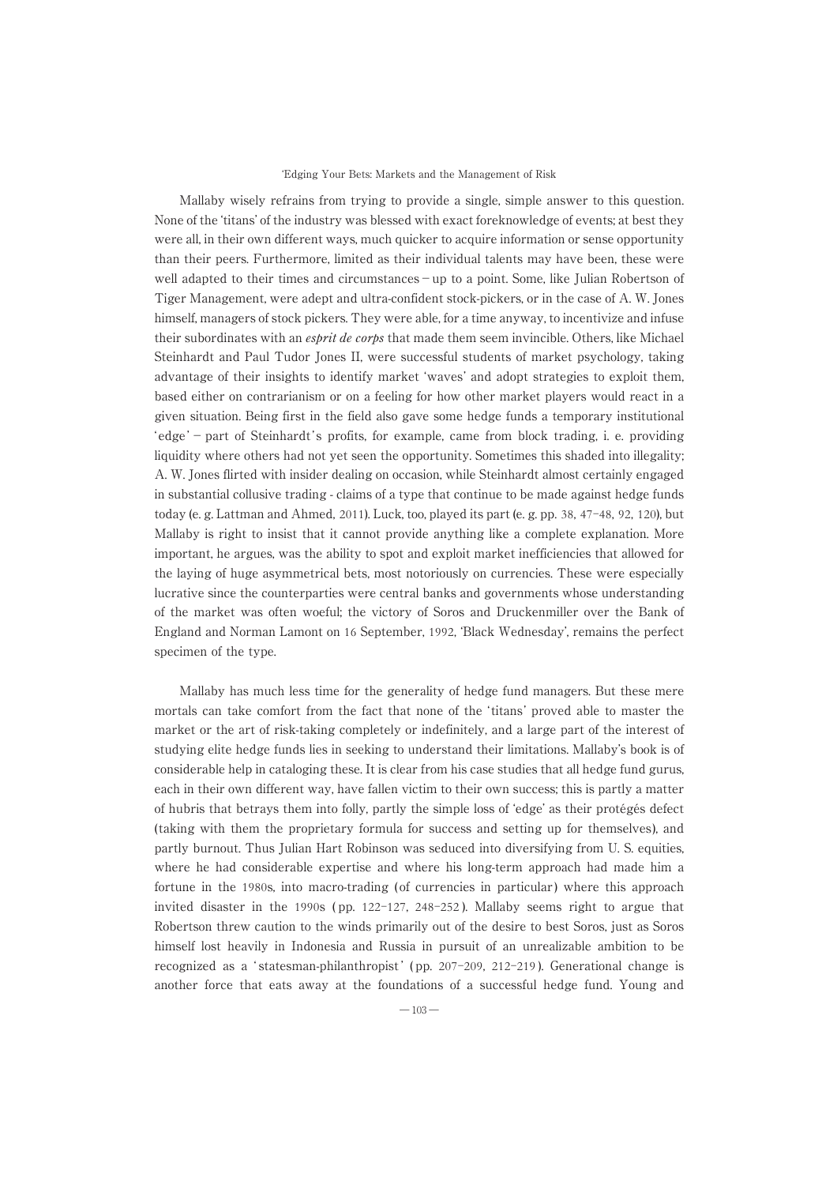#### ʻEdging Your Bets: Markets and the Management of Risk

Mallaby wisely refrains from trying to provide a single, simple answer to this question. None of the ʻtitans' of the industry was blessed with exact foreknowledge of events; at best they were all, in their own different ways, much quicker to acquire information or sense opportunity than their peers. Furthermore, limited as their individual talents may have been, these were well adapted to their times and circumstances−up to a point. Some, like Julian Robertson of Tiger Management, were adept and ultra-confident stock-pickers, or in the case of A. W. Jones himself, managers of stock pickers. They were able, for a time anyway, to incentivize and infuse their subordinates with an *esprit de corps* that made them seem invincible. Others, like Michael Steinhardt and Paul Tudor Jones II, were successful students of market psychology, taking advantage of their insights to identify market ʻwaves' and adopt strategies to exploit them, based either on contrarianism or on a feeling for howother market players would react in a given situation. Being first in the field also gave some hedge funds a temporary institutional ʻ edge '−part of Steinhardt ' s profits, for example, came from block trading, i. e. providing liquidity where others had not yet seen the opportunity. Sometimes this shaded into illegality; A. W. Jones flirted with insider dealing on occasion, while Steinhardt almost certainly engaged in substantial collusive trading - claims of a type that continue to be made against hedge funds today (e. g. Lattman and Ahmed, 2011). Luck, too, played its part (e. g. pp. 38, 47-48, 92, 120), but Mallaby is right to insist that it cannot provide anything like a complete explanation. More important, he argues, was the ability to spot and exploit market inefficiencies that allowed for the laying of huge asymmetrical bets, most notoriously on currencies. These were especially lucrative since the counterparties were central banks and governments whose understanding of the market was often woeful; the victory of Soros and Druckenmiller over the Bank of England and Norman Lamont on 16 September, 1992, ʻBlack Wednesday', remains the perfect specimen of the type.

Mallaby has much less time for the generality of hedge fund managers. But these mere mortals can take comfort from the fact that none of the ʻtitans' proved able to master the market or the art of risk-taking completely or indefinitely, and a large part of the interest of studying elite hedge funds lies in seeking to understand their limitations. Mallaby's book is of considerable help in cataloging these. It is clear from his case studies that all hedge fund gurus, each in their own different way, have fallen victim to their own success; this is partly a matter of hubris that betrays them into folly, partly the simple loss of ʻedge' as their protégés defect (taking with them the proprietary formula for success and setting up for themselves), and partly burnout. Thus Julian Hart Robinson was seduced into diversifying from U. S. equities, where he had considerable expertise and where his long-term approach had made him a fortune in the 1980s, into macro-trading (of currencies in particular) where this approach invited disaster in the 1990s ( pp. 122-127, 248-252 ). Mallaby seems right to argue that Robertson threwcaution to the winds primarily out of the desire to best Soros, just as Soros himself lost heavily in Indonesia and Russia in pursuit of an unrealizable ambition to be recognized as a ʻ statesman-philanthropist ' ( pp. 207-209, 212-219 ). Generational change is another force that eats away at the foundations of a successful hedge fund. Young and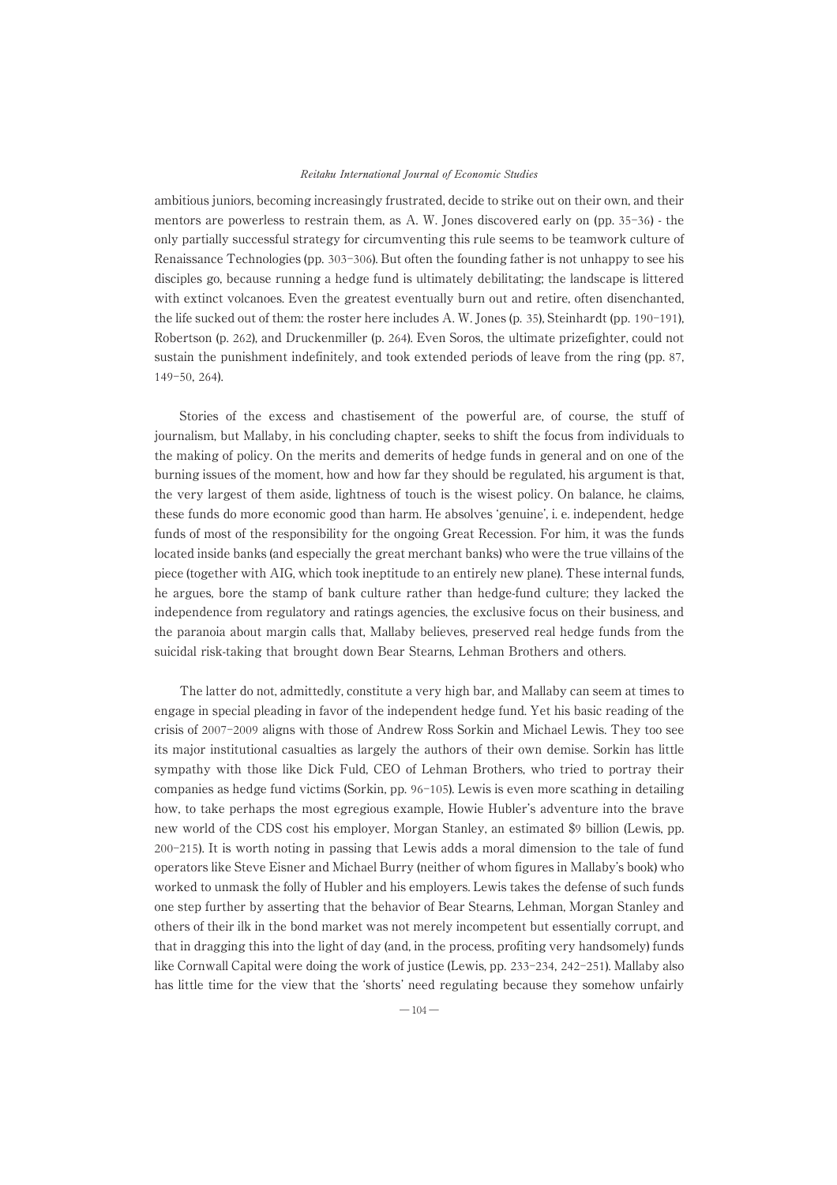#### Reitaku International Journal of Economic Studies

ambitious juniors, becoming increasingly frustrated, decide to strike out on their own, and their mentors are powerless to restrain them, as A. W. Jones discovered early on (pp. 35-36) - the only partially successful strategy for circumventing this rule seems to be teamwork culture of Renaissance Technologies (pp. 303-306). But often the founding father is not unhappy to see his disciples go, because running a hedge fund is ultimately debilitating; the landscape is littered with extinct volcanoes. Even the greatest eventually burn out and retire, often disenchanted, the life sucked out of them: the roster here includes A. W. Jones (p. 35), Steinhardt (pp. 190-191), Robertson (p. 262), and Druckenmiller (p. 264). Even Soros, the ultimate prizefighter, could not sustain the punishment indefinitely, and took extended periods of leave from the ring (pp. 87, 149-50, 264).

Stories of the excess and chastisement of the powerful are, of course, the stuff of journalism, but Mallaby, in his concluding chapter, seeks to shift the focus from individuals to the making of policy. On the merits and demerits of hedge funds in general and on one of the burning issues of the moment, how and how far they should be regulated, his argument is that, the very largest of them aside, lightness of touch is the wisest policy. On balance, he claims, these funds do more economic good than harm. He absolves ʻgenuine', i. e. independent, hedge funds of most of the responsibility for the ongoing Great Recession. For him, it was the funds located inside banks (and especially the great merchant banks) who were the true villains of the piece (together with AIG, which took ineptitude to an entirely new plane). These internal funds, he argues, bore the stamp of bank culture rather than hedge-fund culture; they lacked the independence from regulatory and ratings agencies, the exclusive focus on their business, and the paranoia about margin calls that, Mallaby believes, preserved real hedge funds from the suicidal risk-taking that brought down Bear Stearns, Lehman Brothers and others.

The latter do not, admittedly, constitute a very high bar, and Mallaby can seem at times to engage in special pleading in favor of the independent hedge fund. Yet his basic reading of the crisis of 2007-2009 aligns with those of Andrew Ross Sorkin and Michael Lewis. They too see its major institutional casualties as largely the authors of their own demise. Sorkin has little sympathy with those like Dick Fuld, CEO of Lehman Brothers, who tried to portray their companies as hedge fund victims (Sorkin, pp. 96-105). Lewis is even more scathing in detailing how, to take perhaps the most egregious example, Howie Hubler's adventure into the brave newworld of the CDS cost his employer, Morgan Stanley, an estimated \$9 billion (Lewis, pp. 200-215). It is worth noting in passing that Lewis adds a moral dimension to the tale of fund operators like Steve Eisner and Michael Burry (neither of whom figures in Mallaby's book) who worked to unmask the folly of Hubler and his employers. Lewis takes the defense of such funds one step further by asserting that the behavior of Bear Stearns, Lehman, Morgan Stanley and others of their ilk in the bond market was not merely incompetent but essentially corrupt, and that in dragging this into the light of day (and, in the process, profiting very handsomely) funds like Cornwall Capital were doing the work of justice (Lewis, pp. 233-234, 242-251). Mallaby also has little time for the view that the 'shorts' need regulating because they somehow unfairly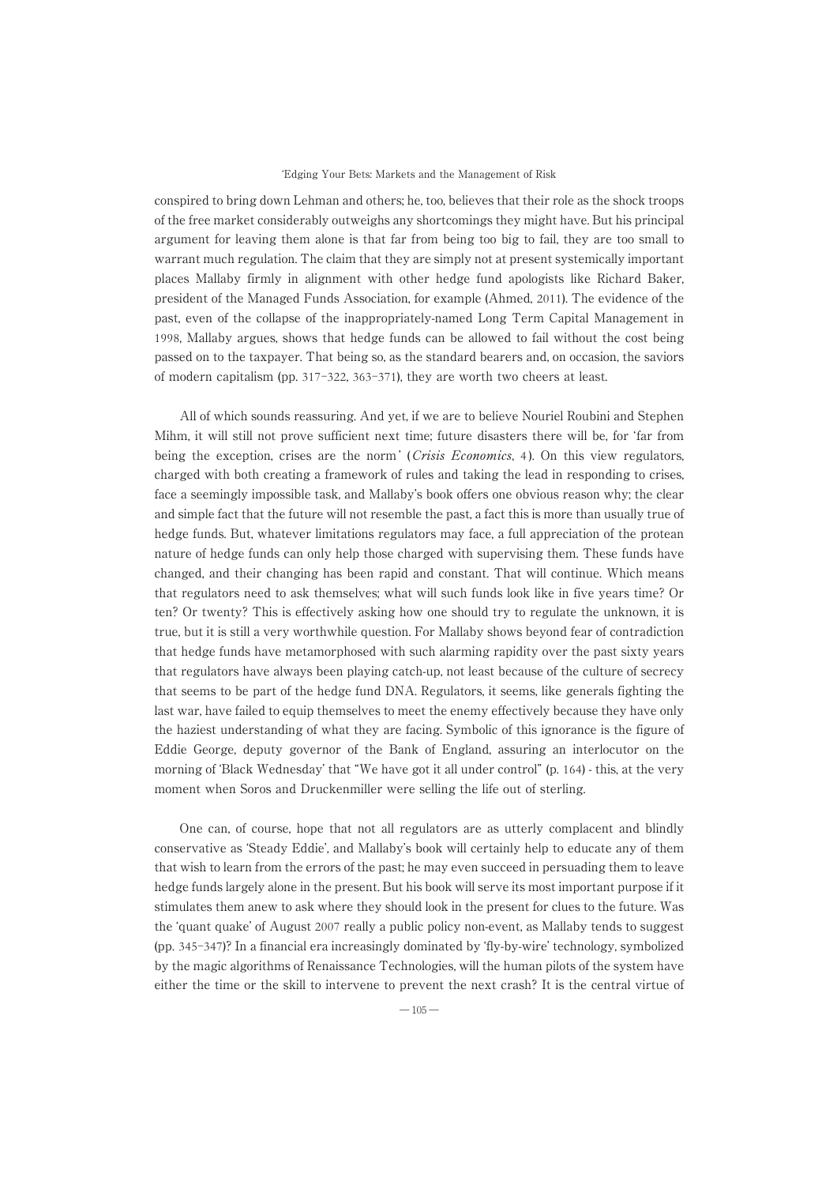#### ʻEdging Your Bets: Markets and the Management of Risk

conspired to bring down Lehman and others; he, too, believes that their role as the shock troops of the free market considerably outweighs any shortcomings they might have. But his principal argument for leaving them alone is that far from being too big to fail, they are too small to warrant much regulation. The claim that they are simply not at present systemically important places Mallaby firmly in alignment with other hedge fund apologists like Richard Baker, president of the Managed Funds Association, for example (Ahmed, 2011). The evidence of the past, even of the collapse of the inappropriately-named Long Term Capital Management in 1998, Mallaby argues, shows that hedge funds can be allowed to fail without the cost being passed on to the taxpayer. That being so, as the standard bearers and, on occasion, the saviors of modern capitalism (pp. 317-322, 363-371), they are worth two cheers at least.

All of which sounds reassuring. And yet, if we are to believe Nouriel Roubini and Stephen Mihm, it will still not prove sufficient next time; future disasters there will be, for ʻfar from being the exception, crises are the norm' (*Crisis Economics*, 4). On this view regulators, charged with both creating a framework of rules and taking the lead in responding to crises, face a seemingly impossible task, and Mallaby's book offers one obvious reason why; the clear and simple fact that the future will not resemble the past, a fact this is more than usually true of hedge funds. But, whatever limitations regulators may face, a full appreciation of the protean nature of hedge funds can only help those charged with supervising them. These funds have changed, and their changing has been rapid and constant. That will continue. Which means that regulators need to ask themselves; what will such funds look like in five years time? Or ten? Or twenty? This is effectively asking how one should try to regulate the unknown, it is true, but it is still a very worthwhile question. For Mallaby shows beyond fear of contradiction that hedge funds have metamorphosed with such alarming rapidity over the past sixty years that regulators have always been playing catch-up, not least because of the culture of secrecy that seems to be part of the hedge fund DNA. Regulators, it seems, like generals fighting the last war, have failed to equip themselves to meet the enemy effectively because they have only the haziest understanding of what they are facing. Symbolic of this ignorance is the figure of Eddie George, deputy governor of the Bank of England, assuring an interlocutor on the morning of ʻBlack Wednesday' that "We have got it all under control" (p. 164) - this, at the very moment when Soros and Druckenmiller were selling the life out of sterling.

One can, of course, hope that not all regulators are as utterly complacent and blindly conservative as ʻSteady Eddie', and Mallaby's book will certainly help to educate any of them that wish to learn from the errors of the past; he may even succeed in persuading them to leave hedge funds largely alone in the present. But his book will serve its most important purpose if it stimulates them anewto ask where they should look in the present for clues to the future. Was the ʻquant quake' of August 2007 really a public policy non-event, as Mallaby tends to suggest (pp. 345-347)? In a financial era increasingly dominated by ʻfly-by-wire' technology, symbolized by the magic algorithms of Renaissance Technologies, will the human pilots of the system have either the time or the skill to intervene to prevent the next crash? It is the central virtue of